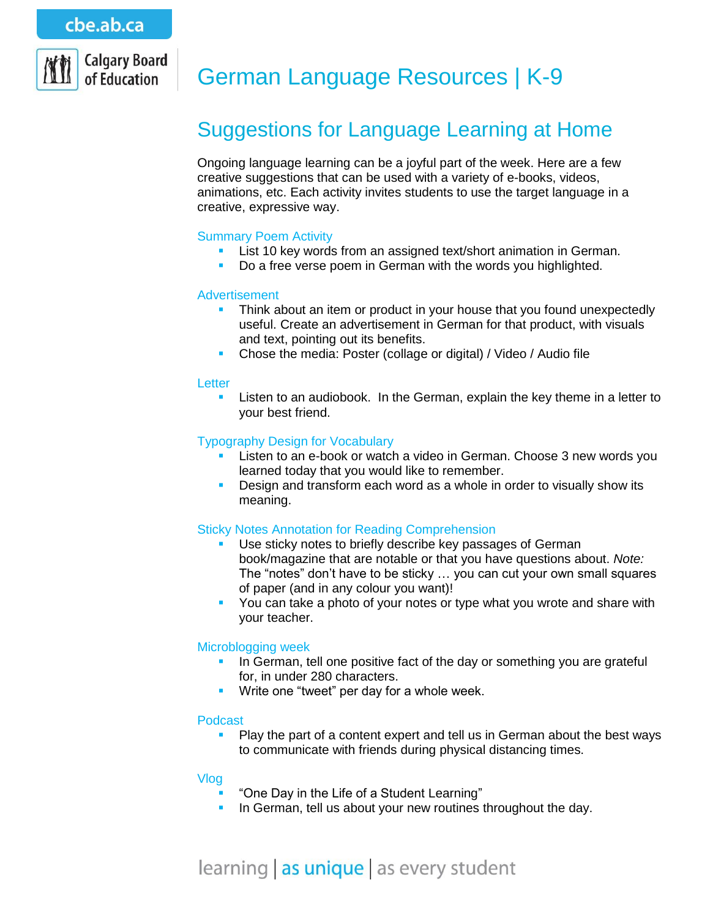

# German Language Resources | K-9

# Suggestions for Language Learning at Home

Ongoing language learning can be a joyful part of the week. Here are a few creative suggestions that can be used with a variety of e-books, videos, animations, etc. Each activity invites students to use the target language in a creative, expressive way.

## Summary Poem Activity

- **List 10 key words from an assigned text/short animation in German.**
- Do a free verse poem in German with the words you highlighted.

#### Advertisement

- Think about an item or product in your house that you found unexpectedly useful. Create an advertisement in German for that product, with visuals and text, pointing out its benefits.
- Chose the media: Poster (collage or digital) / Video / Audio file

#### **Letter**

 Listen to an audiobook. In the German, explain the key theme in a letter to your best friend.

#### Typography Design for Vocabulary

- Listen to an e-book or watch a video in German. Choose 3 new words you learned today that you would like to remember.
- Design and transform each word as a whole in order to visually show its meaning.

## Sticky Notes Annotation for Reading Comprehension

- Use sticky notes to briefly describe key passages of German book/magazine that are notable or that you have questions about. *Note:* The "notes" don't have to be sticky … you can cut your own small squares of paper (and in any colour you want)!
- You can take a photo of your notes or type what you wrote and share with your teacher.

## Microblogging week

- In German, tell one positive fact of the day or something you are grateful for, in under 280 characters.
- **Write one "tweet" per day for a whole week.**

#### Podcast

**Play the part of a content expert and tell us in German about the best ways** to communicate with friends during physical distancing times.

#### Vlog

- "One Day in the Life of a Student Learning"
- In German, tell us about your new routines throughout the day.